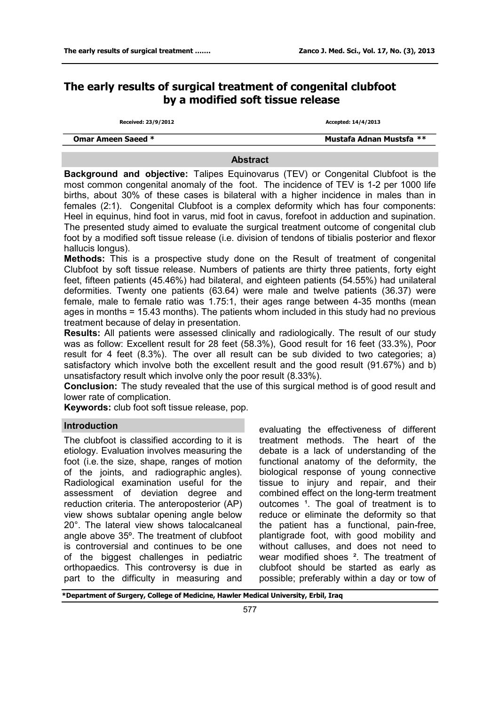# **The early results of surgical treatment of congenital clubfoot by a modified soft tissue release**

**Received: 23/9/2012 Accepted: 14/4/2013**

| <b>Omar Ameen Saeed *</b> | Mustafa Adnan Mustsfa ** |
|---------------------------|--------------------------|
|                           |                          |
|                           |                          |

#### **Abstract**

**Background and objective:** Talipes Equinovarus (TEV) or Congenital Clubfoot is the most common congenital anomaly of the foot. The incidence of TEV is 1-2 per 1000 life births, about 30% of these cases is bilateral with a higher incidence in males than in females (2:1). Congenital Clubfoot is a complex deformity which has four components: Heel in equinus, hind foot in varus, mid foot in cavus, forefoot in adduction and supination. The presented study aimed to evaluate the surgical treatment outcome of congenital club foot by a modified soft tissue release (i.e. division of tendons of tibialis posterior and flexor hallucis longus).

**Methods:** This is a prospective study done on the Result of treatment of congenital Clubfoot by soft tissue release. Numbers of patients are thirty three patients, forty eight feet, fifteen patients (45.46%) had bilateral, and eighteen patients (54.55%) had unilateral deformities. Twenty one patients (63.64) were male and twelve patients (36.37) were female, male to female ratio was 1.75:1, their ages range between 4-35 months (mean ages in months = 15.43 months). The patients whom included in this study had no previous treatment because of delay in presentation.

**Results:** All patients were assessed clinically and radiologically. The result of our study was as follow: Excellent result for 28 feet (58.3%), Good result for 16 feet (33.3%), Poor result for 4 feet (8.3%). The over all result can be sub divided to two categories; a) satisfactory which involve both the excellent result and the good result (91.67%) and b) unsatisfactory result which involve only the poor result (8.33%).

**Conclusion:** The study revealed that the use of this surgical method is of good result and lower rate of complication.

**Keywords:** club foot soft tissue release, pop.

### **Introduction**

The clubfoot is classified according to it is etiology. Evaluation involves measuring the foot (i.e. the size, shape, ranges of motion of the joints, and radiographic angles). Radiological examination useful for the assessment of deviation degree and reduction criteria. The anteroposterior (AP) view shows subtalar opening angle below 20°. The lateral view shows talocalcaneal angle above 35º. The treatment of clubfoot is controversial and continues to be one of the biggest challenges in pediatric orthopaedics. This controversy is due in part to the difficulty in measuring and

evaluating the effectiveness of different treatment methods. The heart of the debate is a lack of understanding of the functional anatomy of the deformity, the biological response of young connective tissue to injury and repair, and their combined effect on the long-term treatment outcomes <sup>1</sup>. The goal of treatment is to reduce or eliminate the deformity so that the patient has a functional, pain-free, plantigrade foot, with good mobility and without calluses, and does not need to wear modified shoes ². The treatment of clubfoot should be started as early as possible; preferably within a day or tow of

**\*Department of Surgery, College of Medicine, Hawler Medical University, Erbil, Iraq**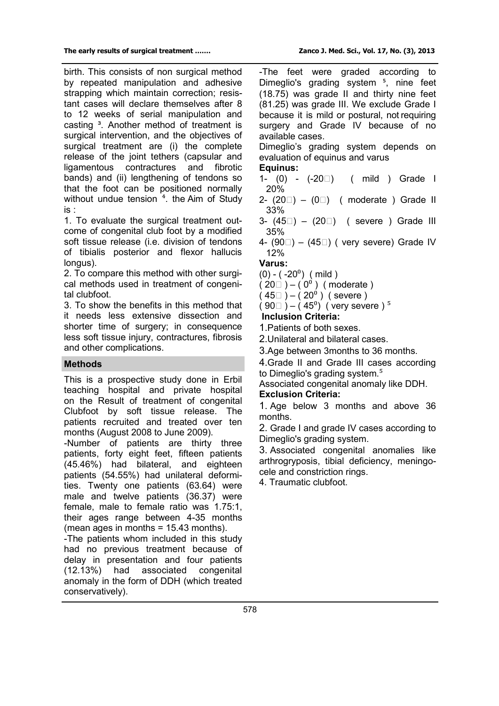birth. This consists of non surgical method by repeated manipulation and adhesive strapping which maintain correction; resistant cases will declare themselves after 8 to 12 weeks of serial manipulation and casting <sup>3</sup>. Another method of treatment is surgical intervention, and the objectives of surgical treatment are (i) the complete release of the joint tethers (capsular and ligamentous contractures and fibrotic bands) and (ii) lengthening of tendons so that the foot can be positioned normally without undue tension <sup>4</sup>. the Aim of Study is :

1. To evaluate the surgical treatment outcome of congenital club foot by a modified soft tissue release (i.e. division of tendons of tibialis posterior and flexor hallucis longus).

2. To compare this method with other surgical methods used in treatment of congenital clubfoot.

3. To show the benefits in this method that it needs less extensive dissection and shorter time of surgery; in consequence less soft tissue injury, contractures, fibrosis and other complications.

## **Methods**

This is a prospective study done in Erbil teaching hospital and private hospital on the Result of treatment of congenital Clubfoot by soft tissue release. The patients recruited and treated over ten months (August 2008 to June 2009).

-Number of patients are thirty three patients, forty eight feet, fifteen patients (45.46%) had bilateral, and eighteen patients (54.55%) had unilateral deformities. Twenty one patients (63.64) were male and twelve patients (36.37) were female, male to female ratio was 1.75:1, their ages range between 4-35 months (mean ages in months = 15.43 months).

-The patients whom included in this study had no previous treatment because of delay in presentation and four patients (12.13%) had associated congenital anomaly in the form of DDH (which treated conservatively).

-The feet were graded according to Dimeglio's grading system<sup>5</sup>, nine feet (18.75) was grade II and thirty nine feet (81.25) was grade III. We exclude Grade I because it is mild or postural, not requiring surgery and Grade IV because of no available cases.

Dimeglio's grading system depends on evaluation of equinus and varus

- **Equinus:**<br>1- (0) (-20□) ( mild ) Grade I 20%
- 2-  $(20\Box) (0\Box)$  (moderate) Grade II 33%
- 3- (45⁰) (20⁰) ( severe ) Grade III 35%
- 4-  $(90\Box)$   $(45\Box)$  ( very severe) Grade IV 12%

**Varus:**

# $(0) - (-20^0)$  (mild)

 $(20 \Box) - (0^0)$  (moderate)

 $(45\Box) - (20^0)$  (severe)

$$
(90)
$$
 –  $(450)$  (very severe) <sup>5</sup>

**Inclusion Criteria:**

1.Patients of both sexes.

- 2.Unilateral and bilateral cases.
- 3.Age between 3months to 36 months.

4.Grade II and Grade III cases according to Dimeglio's grading system.<sup>5</sup>

Associated congenital anomaly like DDH.

### **Exclusion Criteria:**

1. Age below 3 months and above 36 months.

2. Grade I and grade IV cases according to Dimeglio's grading system.

3. Associated congenital anomalies like arthrogryposis, tibial deficiency, meningocele and constriction rings.

4. Traumatic clubfoot.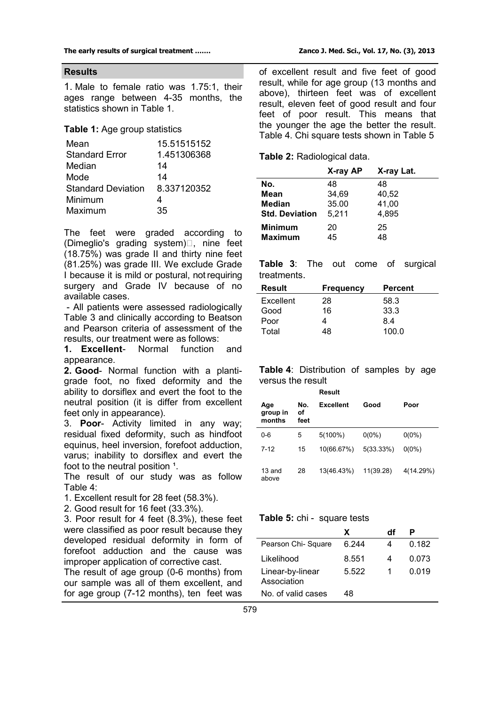#### **Results**

1. Male to female ratio was 1.75:1, their ages range between 4-35 months, the statistics shown in Table 1.

#### **Table 1:** Age group statistics

| Mean                      | 15.51515152 |
|---------------------------|-------------|
| <b>Standard Error</b>     | 1.451306368 |
| Median                    | 14          |
| Mode                      | 14          |
| <b>Standard Deviation</b> | 8.337120352 |
| Minimum                   | 4           |
| Maximum                   | 35          |
|                           |             |

The feet were graded according to (Dimeglio's grading system)□, nine feet (18.75%) was grade II and thirty nine feet (81.25%) was grade III. We exclude Grade I because it is mild or postural, not requiring surgery and Grade IV because of no available cases.

- All patients were assessed radiologically Table 3 and clinically according to Beatson and Pearson criteria of assessment of the results, our treatment were as follows:

**1. Excellent**- Normal function and appearance.

**2. Good**- Normal function with a plantigrade foot, no fixed deformity and the ability to dorsiflex and evert the foot to the neutral position (it is differ from excellent feet only in appearance).

3. **Poor**- Activity limited in any way; residual fixed deformity, such as hindfoot equinus, heel inversion, forefoot adduction, varus; inability to dorsiflex and evert the foot to the neutral position 1.

The result of our study was as follow Table 4:

1. Excellent result for 28 feet (58.3%).

2. Good result for 16 feet (33.3%).

3. Poor result for 4 feet (8.3%), these feet were classified as poor result because they developed residual deformity in form of forefoot adduction and the cause was improper application of corrective cast.

The result of age group (0-6 months) from our sample was all of them excellent, and for age group (7-12 months), ten feet was

of excellent result and five feet of good result, while for age group (13 months and above), thirteen feet was of excellent result, eleven feet of good result and four feet of poor result. This means that the younger the age the better the result. Table 4. Chi square tests shown in Table 5

**Table 2:** Radiological data.

|                       | X-ray AP | X-ray Lat. |
|-----------------------|----------|------------|
| No.                   | 48       | 48         |
| Mean                  | 34,69    | 40,52      |
| <b>Median</b>         | 35.00    | 41,00      |
| <b>Std. Deviation</b> | 5.211    | 4,895      |
| <b>Minimum</b>        | 20       | 25         |
| <b>Maximum</b>        | 45       | 48         |

**Table 3**: The out come of surgical treatments.

| Result    | <b>Frequency</b> | <b>Percent</b> |
|-----------|------------------|----------------|
| Excellent | 28               | 58.3           |
| Good      | 16               | 33.3           |
| Poor      |                  | 84             |
| Total     | 48               | 100.0          |

**Table 4**: Distribution of samples by age versus the result

**Result**

| Age<br>group in<br>months | No.<br>οf<br>feet | <b>Excellent</b> | Good      | Poor      |
|---------------------------|-------------------|------------------|-----------|-----------|
| 0-6                       | 5                 | $5(100\%)$       | $0(0\%)$  | $0(0\%)$  |
| $7-12$                    | 15                | 10(66.67%)       | 5(33.33%) | $0(0\%)$  |
| $13$ and<br>above         | 28                | 13(46.43%)       | 11(39.28) | 4(14.29%) |

### **Table 5:** chi - square tests

|                                 | x     | df |       |
|---------------------------------|-------|----|-------|
| Pearson Chi-Square              | 6.244 |    | 0.182 |
| Likelihood                      | 8.551 | 4  | 0.073 |
| Linear-by-linear<br>Association | 5.522 |    | 0.019 |
| No. of valid cases              | 48    |    |       |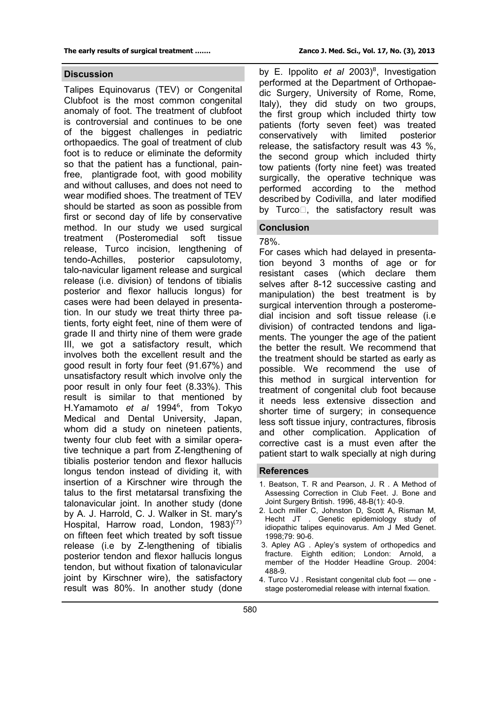#### **Discussion**

Talipes Equinovarus (TEV) or Congenital Clubfoot is the most common congenital anomaly of foot. The treatment of clubfoot is controversial and continues to be one of the biggest challenges in pediatric orthopaedics. The goal of treatment of club foot is to reduce or eliminate the deformity so that the patient has a functional, painfree, plantigrade foot, with good mobility and without calluses, and does not need to wear modified shoes. The treatment of TEV should be started as soon as possible from first or second day of life by conservative method. In our study we used surgical treatment (Posteromedial soft tissue release, Turco incision, lengthening of tendo-Achilles, posterior capsulotomy, talo-navicular ligament release and surgical release (i.e. division) of tendons of tibialis posterior and flexor hallucis longus) for cases were had been delayed in presentation. In our study we treat thirty three patients, forty eight feet, nine of them were of grade II and thirty nine of them were grade III, we got a satisfactory result, which involves both the excellent result and the good result in forty four feet (91.67%) and unsatisfactory result which involve only the poor result in only four feet (8.33%). This result is similar to that mentioned by H.Yamamoto *et al* 1994⁶, from Tokyo Medical and Dental University, Japan, whom did a study on nineteen patients, twenty four club feet with a similar operative technique a part from Z-lengthening of tibialis posterior tendon and flexor hallucis longus tendon instead of dividing it, with insertion of a Kirschner wire through the talus to the first metatarsal transfixing the talonavicular joint. In another study (done by A. J. Harrold, C. J. Walker in St. mary's Hospital, Harrow road, London,  $1983)^{(7)}$ on fifteen feet which treated by soft tissue release (i.e by Z-lengthening of tibialis posterior tendon and flexor hallucis longus tendon, but without fixation of talonavicular joint by Kirschner wire), the satisfactory result was 80%. In another study (done

by E. Ippolito *et al* 2003)<sup>8</sup>, Investigation performed at the Department of Orthopaedic Surgery, University of Rome, Rome, Italy), they did study on two groups, the first group which included thirty tow patients (forty seven feet) was treated conservatively with limited posterior release, the satisfactory result was 43 %, the second group which included thirty tow patients (forty nine feet) was treated surgically, the operative technique was performed according to the method described by Codivilla, and later modified by Turco⁵, the satisfactory result was

#### **Conclusion**

#### 78%.

For cases which had delayed in presentation beyond 3 months of age or for resistant cases (which declare them selves after 8-12 successive casting and manipulation) the best treatment is by surgical intervention through a posteromedial incision and soft tissue release (i.e division) of contracted tendons and ligaments. The younger the age of the patient the better the result. We recommend that the treatment should be started as early as possible. We recommend the use of this method in surgical intervention for treatment of congenital club foot because it needs less extensive dissection and shorter time of surgery; in consequence less soft tissue injury, contractures, fibrosis and other complication. Application of corrective cast is a must even after the patient start to walk specially at nigh during

#### **References**

- 1. Beatson, T. R and Pearson, J. R . A Method of Assessing Correction in Club Feet. J. Bone and Joint Surgery British. 1996, 48-B(1): 40-9.
- 2. Loch miller C, Johnston D, Scott A, Risman M, Hecht JT . Genetic epidemiology study of idiopathic talipes equinovarus. Am J Med Genet. 1998;79: 90-6.
- 3. Apley AG . Apley's system of orthopedics and fracture. Eighth edition; London: Arnold, a member of the Hodder Headline Group. 2004: 488-9.
- 4. Turco VJ . Resistant congenital club foot one stage posteromedial release with internal fixation.